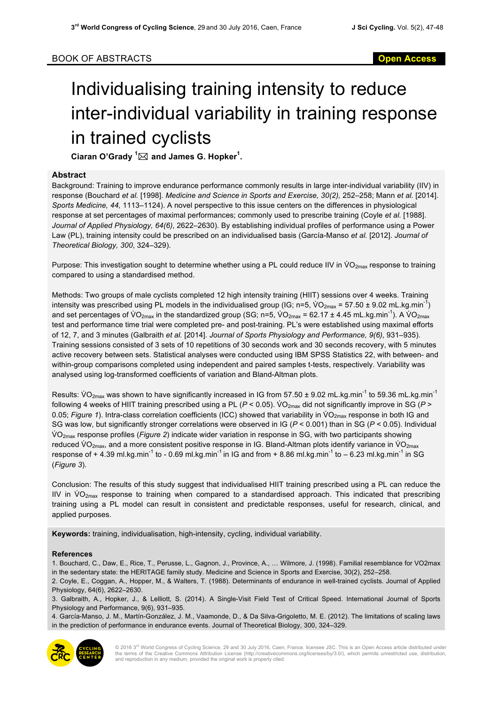## Individualising training intensity to reduce inter-individual variability in training response in trained cyclists

 $\mathsf{C}$ iaran O'Grady  $^1\!\!\boxtimes$  and James G. Hopker $^1\!\!$ .

## **Abstract**

Background: Training to improve endurance performance commonly results in large inter-individual variability (IIV) in response (Bouchard *et al.* [1998]. *Medicine and Science in Sports and Exercise, 30(2),* 252–258; Mann *et al.* [2014]. *Sports Medicine, 44,* 1113–1124). A novel perspective to this issue centers on the differences in physiological response at set percentages of maximal performances; commonly used to prescribe training (Coyle *et al.* [1988]. *Journal of Applied Physiology, 64(6)*, 2622–2630). By establishing individual profiles of performance using a Power Law (PL), training intensity could be prescribed on an individualised basis (García-Manso *et al.* [2012]. *Journal of Theoretical Biology, 300*, 324–329).

Purpose: This investigation sought to determine whether using a PL could reduce IIV in  $VO_{2max}$  response to training compared to using a standardised method.

Methods: Two groups of male cyclists completed 12 high intensity training (HIIT) sessions over 4 weeks. Training intensity was prescribed using PL models in the individualised group (IG; n=5,  $VO_{2max}$  = 57.50 ± 9.02 mL.kg.min<sup>-1</sup>) and set percentages of VO<sub>2max</sub> in the standardized group (SG; n=5, VO<sub>2max</sub> = 62.17 ± 4.45 mL.kg.min<sup>-1</sup>). A VO<sub>2max</sub> test and performance time trial were completed pre- and post-training. PL's were established using maximal efforts of 12, 7, and 3 minutes (Galbraith *et al.* [2014]. *Journal of Sports Physiology and Performance, 9(6)*, 931–935). Training sessions consisted of 3 sets of 10 repetitions of 30 seconds work and 30 seconds recovery, with 5 minutes active recovery between sets. Statistical analyses were conducted using IBM SPSS Statistics 22, with between- and within-group comparisons completed using independent and paired samples t-tests, respectively. Variability was analysed using log-transformed coefficients of variation and Bland-Altman plots.

Results: VO<sub>2max</sub> was shown to have significantly increased in IG from 57.50  $\pm$  9.02 mL.kg.min<sup>-1</sup> to 59.36 mL.kg.min<sup>-1</sup> following 4 weeks of HIIT training prescribed using a PL ( $P < 0.05$ ). VO<sub>2max</sub> did not significantly improve in SG ( $P >$ 0.05; *Figure 1*). Intra-class correlation coefficients (ICC) showed that variability in VO<sub>2max</sub> response in both IG and SG was low, but significantly stronger correlations were observed in IG (*P* < 0.001) than in SG (*P* < 0.05). Individual V̇ O2max response profiles (*Figure 2*) indicate wider variation in response in SG, with two participants showing reduced  $VO_{2max}$ , and a more consistent positive response in IG. Bland-Altman plots identify variance in  $VO_{2max}$ response of  $+$  4.39 ml.kg.min<sup>-1</sup> to - 0.69 ml.kg.min<sup>-1</sup> in IG and from  $+$  8.86 ml.kg.min<sup>-1</sup> to – 6.23 ml.kg.min<sup>-1</sup> in SG (*Figure 3*).

Conclusion: The results of this study suggest that individualised HIIT training prescribed using a PL can reduce the IIV in  $VO_{2max}$  response to training when compared to a standardised approach. This indicated that prescribing training using a PL model can result in consistent and predictable responses, useful for research, clinical, and applied purposes.

**Keywords:** training, individualisation, high-intensity, cycling, individual variability.

## **References**

1. Bouchard, C., Daw, E., Rice, T., Perusse, L., Gagnon, J., Province, A., … Wilmore, J. (1998). Familial resemblance for VO2max in the sedentary state: the HERITAGE family study. Medicine and Science in Sports and Exercise, 30(2), 252–258.

2. Coyle, E., Coggan, A., Hopper, M., & Walters, T. (1988). Determinants of endurance in well-trained cyclists. Journal of Applied Physiology, 64(6), 2622–2630.

3. Galbraith, A., Hopker, J., & Lelliott, S. (2014). A Single-Visit Field Test of Critical Speed. International Journal of Sports Physiology and Performance, 9(6), 931–935.

4. García-Manso, J. M., Martín-González, J. M., Vaamonde, D., & Da Silva-Grigoletto, M. E. (2012). The limitations of scaling laws in the prediction of performance in endurance events. Journal of Theoretical Biology, 300, 324–329.



© 2016 3<sup>rd</sup> World Congress of Cycling Science, 29 and 30 July 2016, Caen, France. licensee JSC. This is an Open Access article distributed under<br>the terms of the Creative Commons Attribution License (http://creativecommon and reproduction in any medium, provided the original work is properly cited.